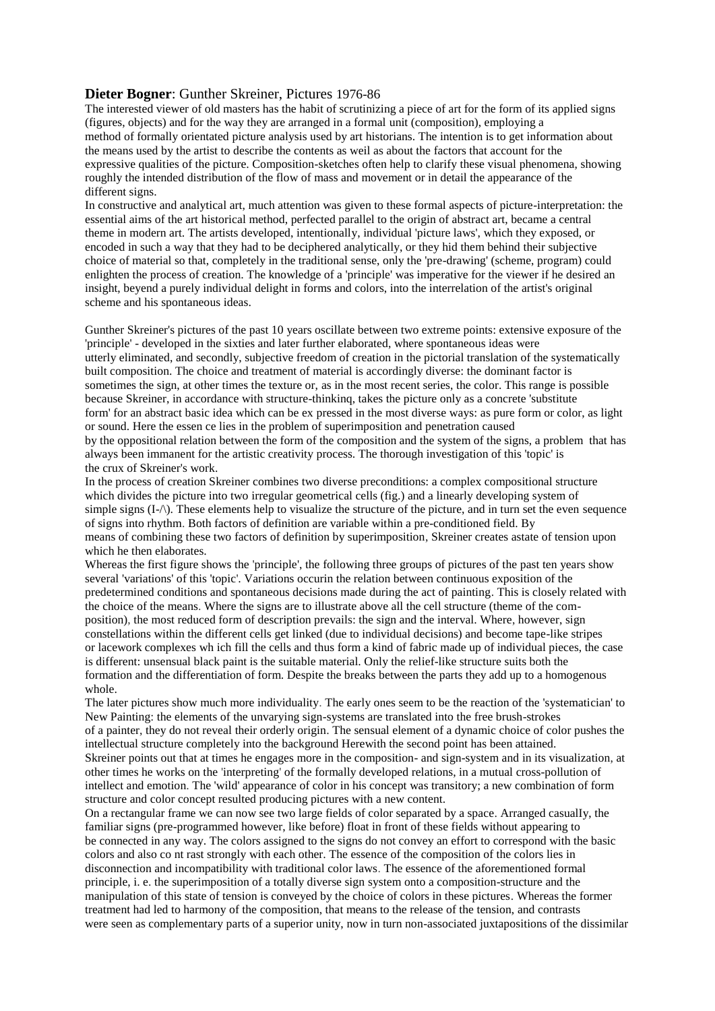## **Dieter Bogner**: Gunther Skreiner, Pictures 1976-86

The interested viewer of old masters has the habit of scrutinizing a piece of art for the form of its applied signs (figures, objects) and for the way they are arranged in a formal unit (composition), employing a method of formally orientated picture analysis used by art historians. The intention is to get information about the means used by the artist to describe the contents as weil as about the factors that account for the expressive qualities of the picture. Composition-sketches often help to clarify these visual phenomena, showing roughly the intended distribution of the flow of mass and movement or in detail the appearance of the different signs.

In constructive and analytical art, much attention was given to these formal aspects of picture-interpretation: the essential aims of the art historical method, perfected parallel to the origin of abstract art, became a central theme in modern art. The artists developed, intentionally, individual 'picture laws', which they exposed, or encoded in such a way that they had to be deciphered analytically, or they hid them behind their subjective choice of material so that, completely in the traditional sense, only the 'pre-drawing' (scheme, program) could enlighten the process of creation. The knowledge of a 'principle' was imperative for the viewer if he desired an insight, beyend a purely individual delight in forms and colors, into the interrelation of the artist's original scheme and his spontaneous ideas.

Gunther Skreiner's pictures of the past 10 years oscillate between two extreme points: extensive exposure of the 'principle' - developed in the sixties and later further elaborated, where spontaneous ideas were utterly eliminated, and secondly, subjective freedom of creation in the pictorial translation of the systematically built composition. The choice and treatment of material is accordingly diverse: the dominant factor is sometimes the sign, at other times the texture or, as in the most recent series, the color. This range is possible because Skreiner, in accordance with structure-thinkinq, takes the picture only as a concrete 'substitute form' for an abstract basic idea which can be ex pressed in the most diverse ways: as pure form or color, as light or sound. Here the essen ce lies in the problem of superimposition and penetration caused by the oppositional relation between the form of the composition and the system of the signs, a problem that has always been immanent for the artistic creativity process. The thorough investigation of this 'topic' is the crux of Skreiner's work.

In the process of creation Skreiner combines two diverse preconditions: a complex compositional structure which divides the picture into two irregular geometrical cells (fig.) and a linearly developing system of simple signs  $(I-\Lambda)$ . These elements help to visualize the structure of the picture, and in turn set the even sequence of signs into rhythm. Both factors of definition are variable within a pre-conditioned field. By means of combining these two factors of definition by superimposition, Skreiner creates astate of tension upon which he then elaborates.

Whereas the first figure shows the 'principle', the following three groups of pictures of the past ten years show several 'variations' of this 'topic'. Variations occurin the relation between continuous exposition of the predetermined conditions and spontaneous decisions made during the act of painting. This is closely related with the choice of the means. Where the signs are to illustrate above all the cell structure (theme of the composition), the most reduced form of description prevails: the sign and the interval. Where, however, sign constellations within the different cells get linked (due to individual decisions) and become tape-like stripes or lacework complexes wh ich fill the cells and thus form a kind of fabric made up of individual pieces, the case is different: unsensual black paint is the suitable material. Only the relief-like structure suits both the formation and the differentiation of form. Despite the breaks between the parts they add up to a homogenous whole.

The later pictures show much more individuality. The early ones seem to be the reaction of the 'systematician' to New Painting: the elements of the unvarying sign-systems are translated into the free brush-strokes of a painter, they do not reveal their orderly origin. The sensual element of a dynamic choice of color pushes the intellectual structure completely into the background Herewith the second point has been attained. Skreiner points out that at times he engages more in the composition- and sign-system and in its visualization, at other times he works on the 'interpreting' of the formally developed relations, in a mutual cross-pollution of intellect and emotion. The 'wild' appearance of color in his concept was transitory; a new combination of form structure and color concept resulted producing pictures with a new content.

On a rectangular frame we can now see two large fields of color separated by a space. Arranged casualIy, the familiar signs (pre-programmed however, like before) float in front of these fields without appearing to be connected in any way. The colors assigned to the signs do not convey an effort to correspond with the basic colors and also co nt rast strongly with each other. The essence of the composition of the colors lies in disconnection and incompatibility with traditional color laws. The essence of the aforementioned formal principle, i. e. the superimposition of a totally diverse sign system onto a composition-structure and the manipulation of this state of tension is conveyed by the choice of colors in these pictures. Whereas the former treatment had led to harmony of the composition, that means to the release of the tension, and contrasts were seen as complementary parts of a superior unity, now in turn non-associated juxtapositions of the dissimilar